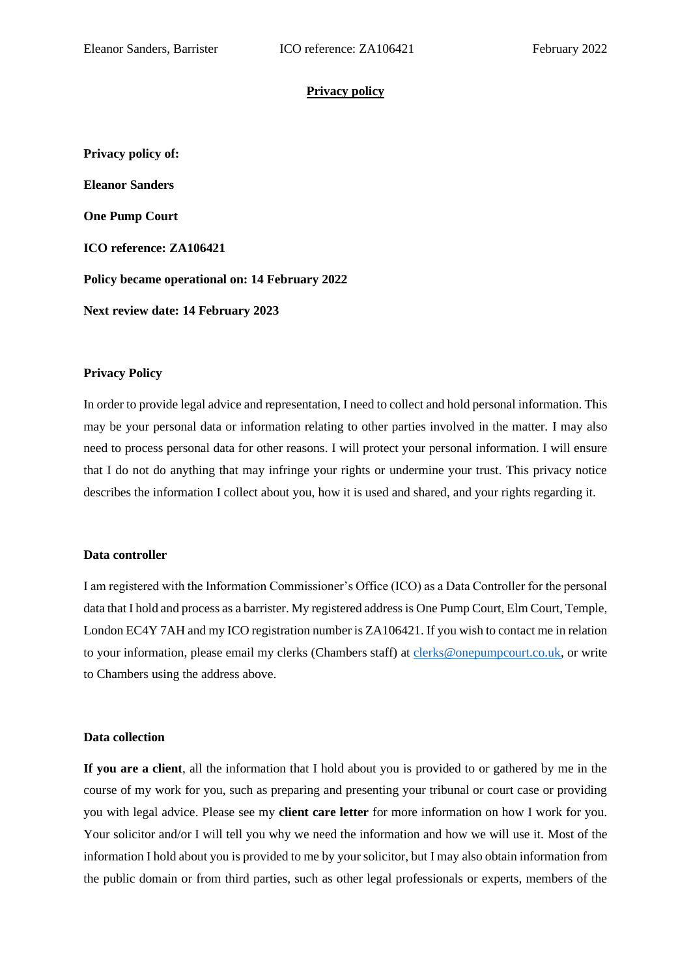#### **Privacy policy**

**Privacy policy of: Eleanor Sanders One Pump Court ICO reference: ZA106421 Policy became operational on: 14 February 2022 Next review date: 14 February 2023**

#### **Privacy Policy**

In order to provide legal advice and representation, I need to collect and hold personal information. This may be your personal data or information relating to other parties involved in the matter. I may also need to process personal data for other reasons. I will protect your personal information. I will ensure that I do not do anything that may infringe your rights or undermine your trust. This privacy notice describes the information I collect about you, how it is used and shared, and your rights regarding it.

#### **Data controller**

I am registered with the Information Commissioner's Office (ICO) as a Data Controller for the personal data that I hold and process as a barrister. My registered address is One Pump Court, Elm Court, Temple, London EC4Y 7AH and my ICO registration number is ZA106421. If you wish to contact me in relation to your information, please email my clerks (Chambers staff) at [clerks@onepumpcourt.co.uk,](mailto:clerks@onepumpcourt.co.uk) or write to Chambers using the address above.

#### **Data collection**

**If you are a client**, all the information that I hold about you is provided to or gathered by me in the course of my work for you, such as preparing and presenting your tribunal or court case or providing you with legal advice. Please see my **client care letter** for more information on how I work for you. Your solicitor and/or I will tell you why we need the information and how we will use it. Most of the information I hold about you is provided to me by your solicitor, but I may also obtain information from the public domain or from third parties, such as other legal professionals or experts, members of the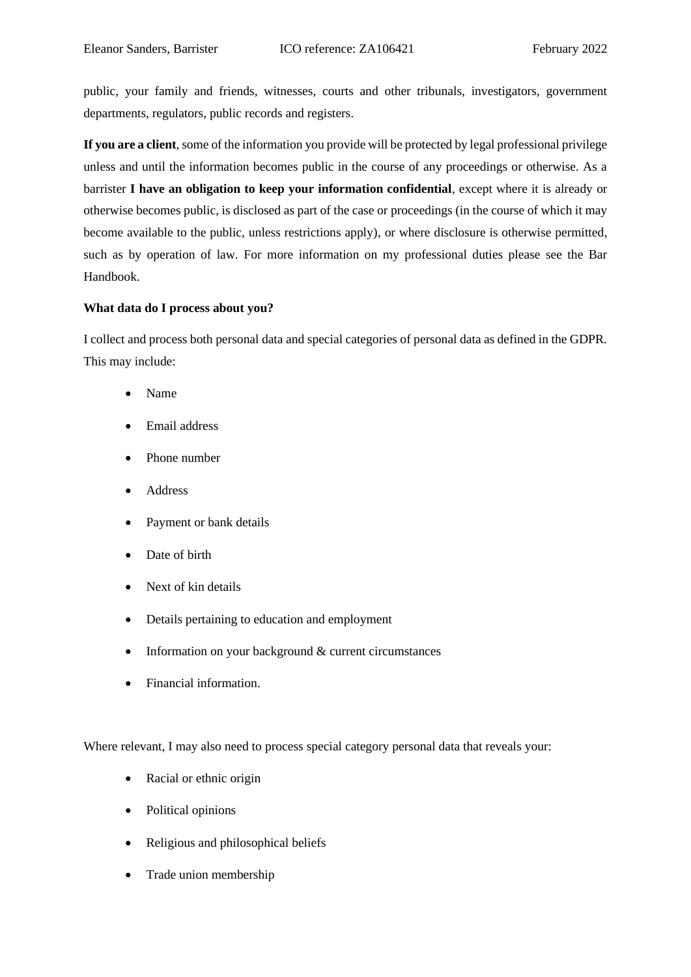public, your family and friends, witnesses, courts and other tribunals, investigators, government departments, regulators, public records and registers.

**If you are a client**, some of the information you provide will be protected by legal professional privilege unless and until the information becomes public in the course of any proceedings or otherwise. As a barrister **I have an obligation to keep your information confidential**, except where it is already or otherwise becomes public, is disclosed as part of the case or proceedings (in the course of which it may become available to the public, unless restrictions apply), or where disclosure is otherwise permitted, such as by operation of law. For more information on my professional duties please see the Bar Handbook.

### **What data do I process about you?**

I collect and process both personal data and special categories of personal data as defined in the GDPR. This may include:

- Name
- Email address
- Phone number
- Address
- Payment or bank details
- Date of birth
- Next of kin details
- Details pertaining to education and employment
- Information on your background & current circumstances
- Financial information.

Where relevant, I may also need to process special category personal data that reveals your:

- Racial or ethnic origin
- Political opinions
- Religious and philosophical beliefs
- Trade union membership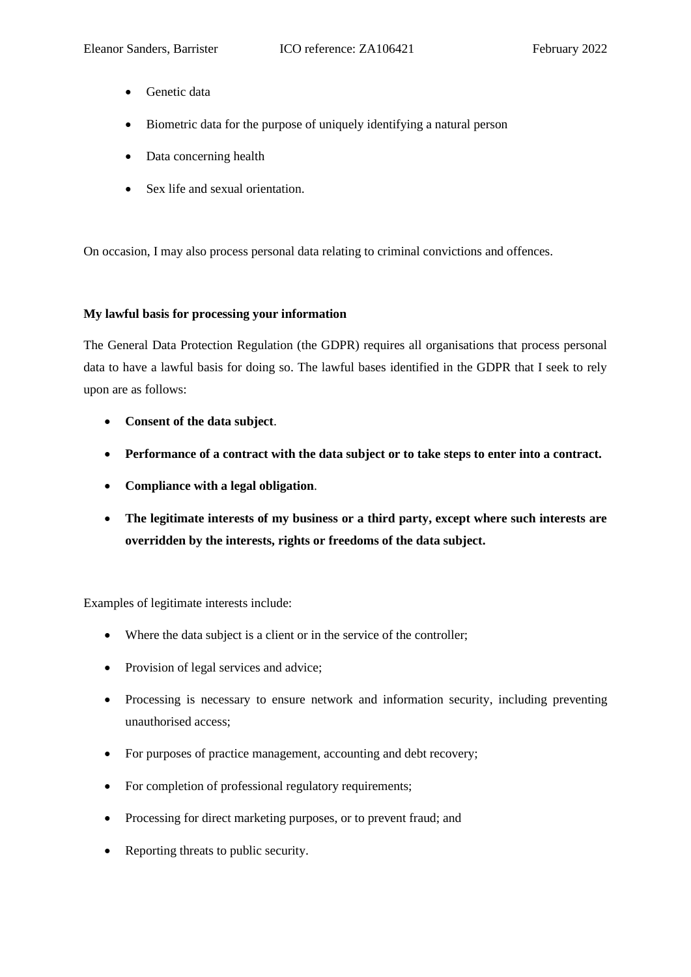- Genetic data
- Biometric data for the purpose of uniquely identifying a natural person
- Data concerning health
- Sex life and sexual orientation.

On occasion, I may also process personal data relating to criminal convictions and offences.

### **My lawful basis for processing your information**

The General Data Protection Regulation (the GDPR) requires all organisations that process personal data to have a lawful basis for doing so. The lawful bases identified in the GDPR that I seek to rely upon are as follows:

- **Consent of the data subject**.
- **Performance of a contract with the data subject or to take steps to enter into a contract.**
- **Compliance with a legal obligation**.
- **The legitimate interests of my business or a third party, except where such interests are overridden by the interests, rights or freedoms of the data subject.**

Examples of legitimate interests include:

- Where the data subject is a client or in the service of the controller;
- Provision of legal services and advice;
- Processing is necessary to ensure network and information security, including preventing unauthorised access;
- For purposes of practice management, accounting and debt recovery;
- For completion of professional regulatory requirements;
- Processing for direct marketing purposes, or to prevent fraud; and
- Reporting threats to public security.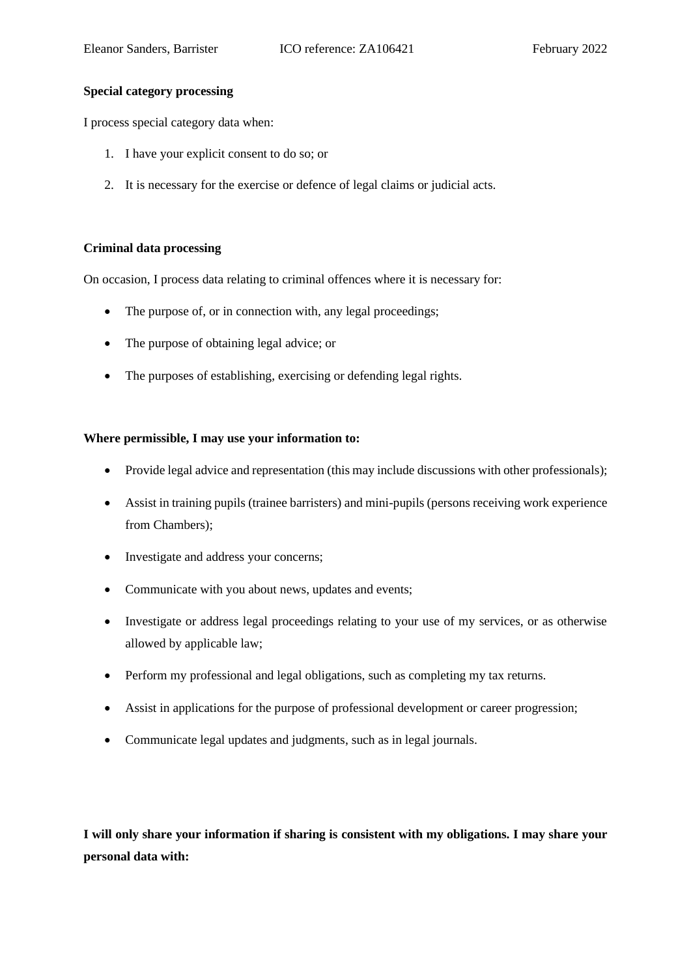## **Special category processing**

I process special category data when:

- 1. I have your explicit consent to do so; or
- 2. It is necessary for the exercise or defence of legal claims or judicial acts.

### **Criminal data processing**

On occasion, I process data relating to criminal offences where it is necessary for:

- The purpose of, or in connection with, any legal proceedings;
- The purpose of obtaining legal advice; or
- The purposes of establishing, exercising or defending legal rights.

#### **Where permissible, I may use your information to:**

- Provide legal advice and representation (this may include discussions with other professionals);
- Assist in training pupils (trainee barristers) and mini-pupils (persons receiving work experience from Chambers);
- Investigate and address your concerns;
- Communicate with you about news, updates and events;
- Investigate or address legal proceedings relating to your use of my services, or as otherwise allowed by applicable law;
- Perform my professional and legal obligations, such as completing my tax returns.
- Assist in applications for the purpose of professional development or career progression;
- Communicate legal updates and judgments, such as in legal journals.

**I will only share your information if sharing is consistent with my obligations. I may share your personal data with:**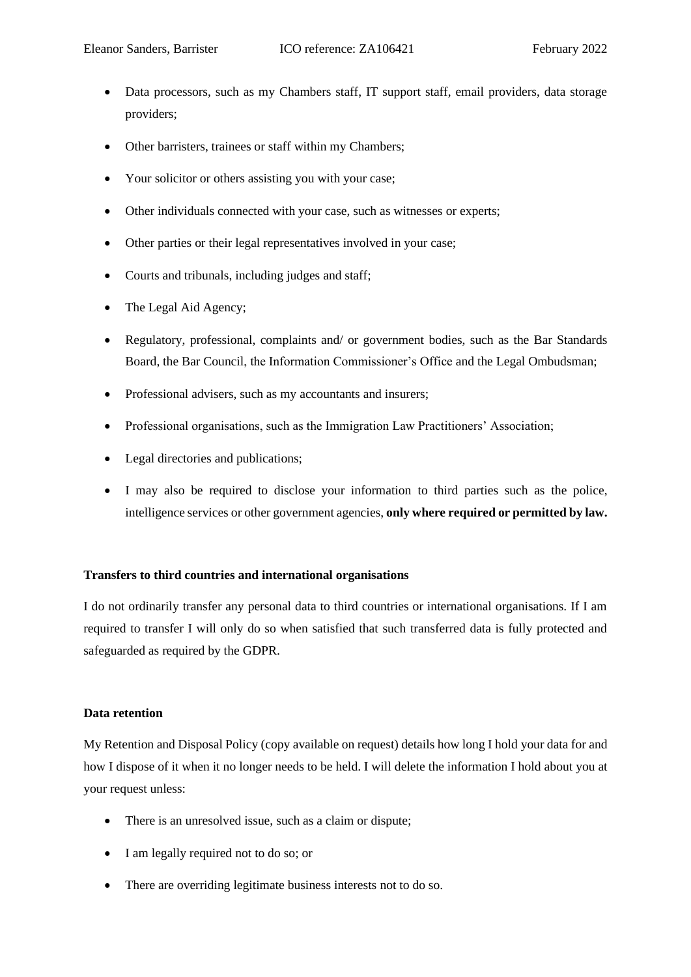- Data processors, such as my Chambers staff, IT support staff, email providers, data storage providers;
- Other barristers, trainees or staff within my Chambers;
- Your solicitor or others assisting you with your case;
- Other individuals connected with your case, such as witnesses or experts;
- Other parties or their legal representatives involved in your case;
- Courts and tribunals, including judges and staff:
- The Legal Aid Agency;
- Regulatory, professional, complaints and/ or government bodies, such as the Bar Standards Board, the Bar Council, the Information Commissioner's Office and the Legal Ombudsman;
- Professional advisers, such as my accountants and insurers;
- Professional organisations, such as the Immigration Law Practitioners' Association;
- Legal directories and publications;
- I may also be required to disclose your information to third parties such as the police, intelligence services or other government agencies, **only where required or permitted by law.**

# **Transfers to third countries and international organisations**

I do not ordinarily transfer any personal data to third countries or international organisations. If I am required to transfer I will only do so when satisfied that such transferred data is fully protected and safeguarded as required by the GDPR.

# **Data retention**

My Retention and Disposal Policy (copy available on request) details how long I hold your data for and how I dispose of it when it no longer needs to be held. I will delete the information I hold about you at your request unless:

- There is an unresolved issue, such as a claim or dispute:
- I am legally required not to do so; or
- There are overriding legitimate business interests not to do so.